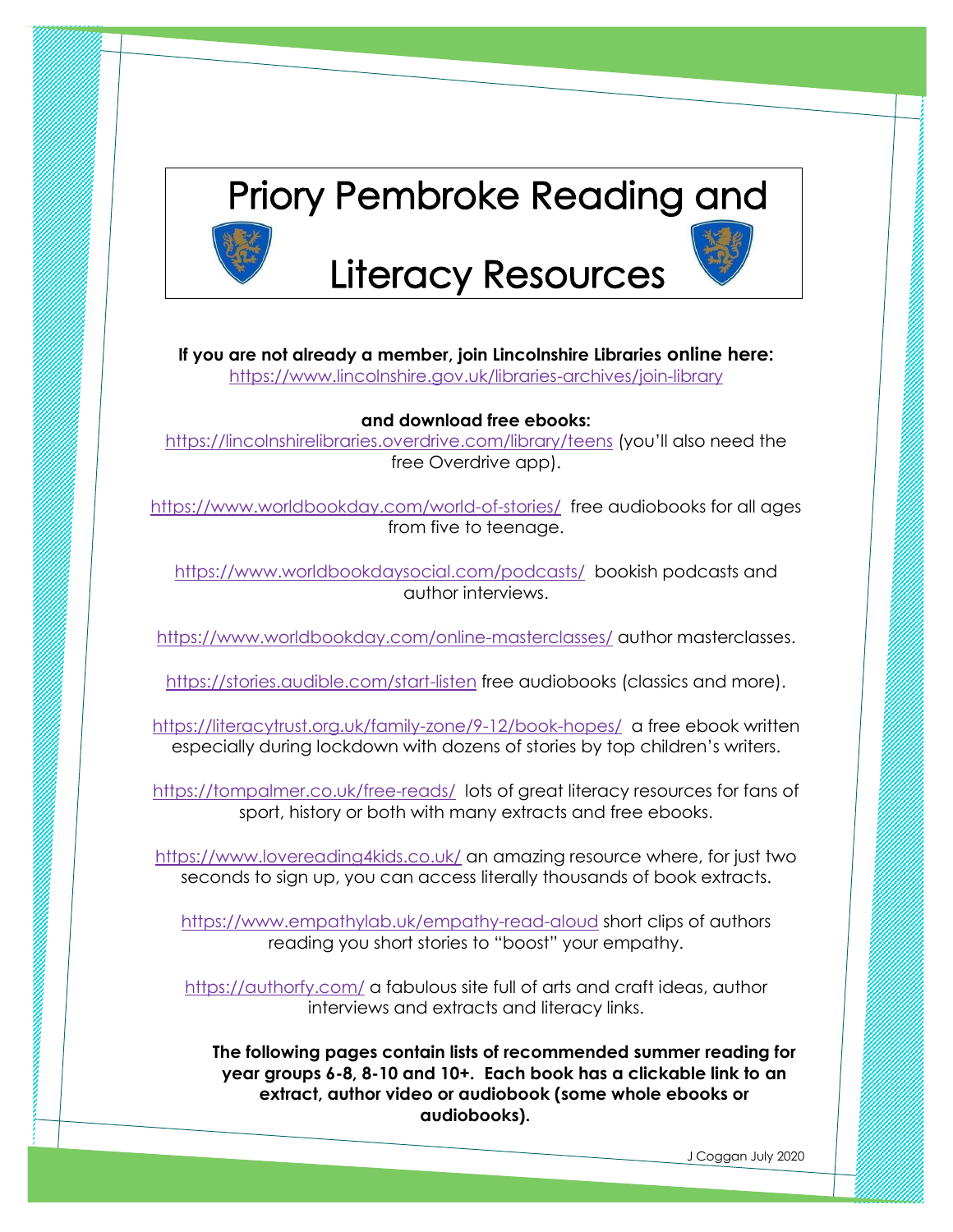

**If you are not already a member, join Lincolnshire Libraries online here:** 

<https://www.lincolnshire.gov.uk/libraries-archives/join-library>

#### **and download free ebooks:**

<https://lincolnshirelibraries.overdrive.com/library/teens> (you'll also need the free Overdrive app).

<https://www.worldbookday.com/world-of-stories/>free audiobooks for all ages from five to teenage.

<https://www.worldbookdaysocial.com/podcasts/>bookish podcasts and author interviews.

<https://www.worldbookday.com/online-masterclasses/> author masterclasses.

<https://stories.audible.com/start-listen> free audiobooks (classics and more).

<https://literacytrust.org.uk/family-zone/9-12/book-hopes/>a free ebook written especially during lockdown with dozens of stories by top children's writers.

<https://tompalmer.co.uk/free-reads/>lots of great literacy resources for fans of sport, history or both with many extracts and free ebooks.

<https://www.lovereading4kids.co.uk/> an amazing resource where, for just two seconds to sign up, you can access literally thousands of book extracts.

<https://www.empathylab.uk/empathy-read-aloud> short clips of authors reading you short stories to "boost" your empathy.

<https://authorfy.com/> a fabulous site full of arts and craft ideas, author interviews and extracts and literacy links.

**The following pages contain lists of recommended summer reading for year groups 6-8, 8-10 and 10+. Each book has a clickable link to an extract, author video or audiobook (some whole ebooks or audiobooks).** 

**Recorded Advisors**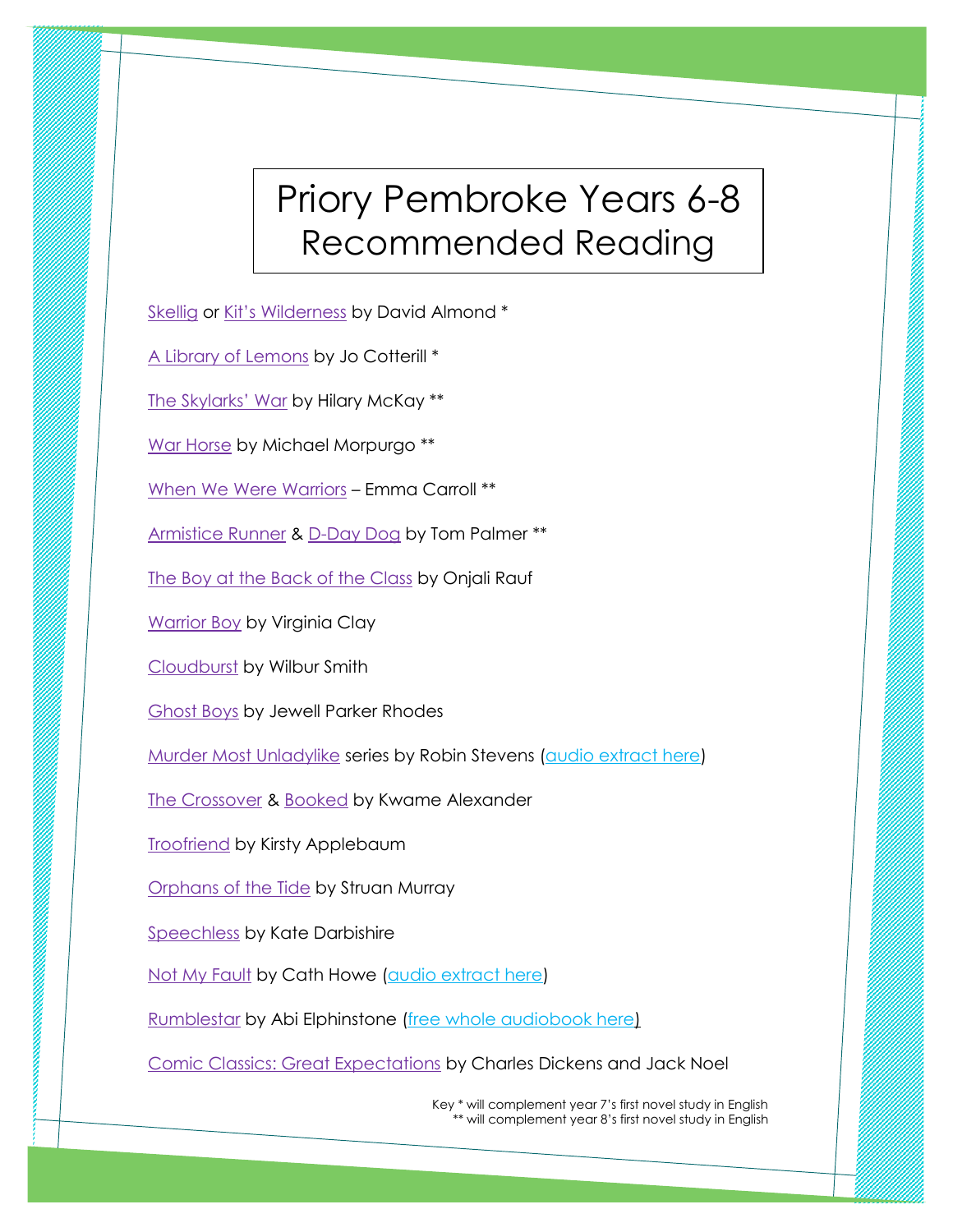### Priory Pembroke Years 6-8 Recommended Reading

**RANDAR MANAGERINAL PROPERTY** 

[Skellig](https://amzn.eu/0Sdr0Me) or Kit's [Wilderness](https://amzn.eu/9joCPDl) by David Almond \*

[A Library of Lemons](https://amzn.eu/4aW2Sag) by Jo Cotterill \*

[The Skylarks' War](https://cdn.waterstones.com/images/1/4518/skylarkswar%20chap1%20extract.pdf) by Hilary McKay \*\*

[War Horse](https://www.worldbookday.com/wp-content/uploads/2014/02/Warhorse.pdf) by Michael Morpurgo \*\*

[When We Were Warriors](https://amzn.eu/9aZMTem) – Emma Carroll \*\*

[Armistice Runner](https://www.barringtonstoke.co.uk/books/armistice-runner/) & [D-Day Dog](https://www.barringtonstoke.co.uk/books/d-day-dog/) by Tom Palmer \*\*

[The Boy at the Back of the Class](https://amzn.eu/4R8em81) by Onjali Rauf

[Warrior Boy](https://www.chickenhousebooks.com/wp-content/uploads/2018/05/Warrior-Boy_SAMPLE.pdf) by Virginia Clay

[Cloudburst](https://amzn.eu/gAFshkt) by Wilbur Smith

[Ghost Boys](https://amzn.eu/bYu9EpT) by Jewell Parker Rhodes

[Murder Most Unladylike](https://amzn.eu/5z9rX7m) series by Robin Stevens [\(audio extract here\)](https://soundcloud.com/penguin-books/murder-most-unladylike-by-robin-stevens-audiobook-extract-read-by-gemma-chan)

[The Crossover](https://amzn.eu/46VBFyg) & [Booked](https://amzn.eu/gwAGW92) by Kwame Alexander

**[Troofriend](https://nosycrow.com/blog/take-a-look-inside-troofriend/) by Kirsty Applebaum** 

[Orphans of the Tide](https://www.penguin.co.uk/articles/children/2020/jan/orphans-of-the-tide-struan-murray-extract.html) by Struan Murray

[Speechless](https://amzn.eu/1fCNTX2) by Kate Darbishire

**CONTRACTOR CONTRACTOR** 

[Not My Fault](https://issuu.com/nosycrow/docs/repro_notmyfault_prelims_hi-res/8) by Cath Howe [\(audio extract here\)](https://soundcloud.com/nosycrow/not-my-fault-preview)

[Rumblestar](https://amzn.eu/iJG36fV) by Abi Elphinstone [\(free whole audiobook here\)](https://www.worldbookday.com/stories/rumblestar-by-abi-elphinstone/)

[Comic Classics: Great Expectations](https://youtu.be/ZJ3Vd1UC2wc) by Charles Dickens and Jack Noel

 Key \* will complement year 7's first novel study in English \*\* will complement year 8's first novel study in English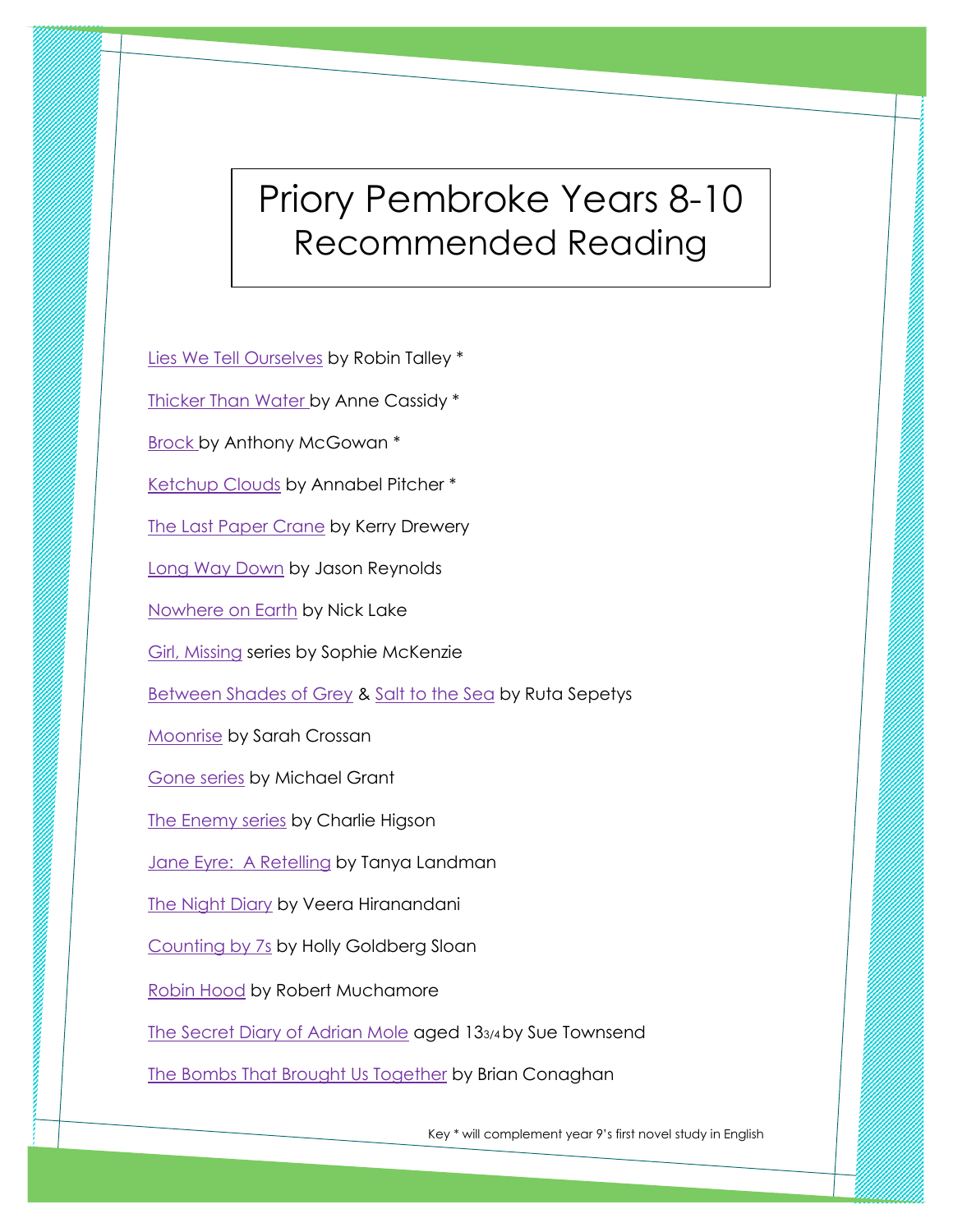# Priory Pembroke Years 8-10 Recommended Reading

**Manazara Manazara Manazara Katsa Bandara Katsa Bandara Katsa Bandara Katsa Bandara Katsa Bandara Katsa Bandara K** 

[Lies We Tell Ourselves](https://amzn.eu/5RKdSuM) by Robin Talley \* [Thicker Than Water by Anne Cassidy \\*](https://www.barringtonstoke.co.uk/books/thicker-water/) [Brock by Anthony McGowan](https://www.barringtonstoke.co.uk/books/brock/) \* [Ketchup Clouds](https://amzn.eu/al3oca6) by Annabel Pitcher \* **[The Last Paper Crane](https://youtu.be/ifTHESE2H38) by Kerry Drewery** [Long Way Down](https://youtu.be/iF5MRMtpEcI) by Jason Reynolds [Nowhere on Earth](https://amzn.eu/8TjjHon) by Nick Lake [Girl, Missing](https://amzn.eu/5jfEghh) series by Sophie McKenzie [Between Shades of Grey](https://amzn.eu/d7O3BEs) & [Salt to the Sea](https://amzn.eu/907zS1M) by Ruta Sepetys [Moonrise](https://amzn.eu/3EHx7xW) by Sarah Crossan [Gone series](https://www.worldbookday.com/wp-content/uploads/2014/02/Gone.pdf) by Michael Grant [The Enemy series](https://soundcloud.com/penguin-books/charlie-higson-the-enemy) by Charlie Higson [Jane Eyre: A Retelling](https://www.barringtonstoke.co.uk/books/jane-eyre-a-retelling/) by Tanya Landman [The Night Diary](https://soundcloud.com/penguin-audio/the-night-diary-by-veera) by Veera Hiranandani [Counting by 7s](https://amzn.eu/dqsb6h1) by Holly Goldberg Sloan [Robin Hood](https://www.muchamore.com/robinhood) by Robert Muchamore [The Secret Diary of Adrian Mole](https://amzn.eu/i1QKsEX) aged 133/4by Sue Townsend [The Bombs That Brought Us Together](https://amzn.eu/6fFfH9K) by Brian Conaghan

**Barbara Barbara Barbara Barbara Barbara Barbara Barbara Barbara Barbara Barbara Barbara Barbara Barbara Barbara** 

Key \* will complement year 9's first novel study in English